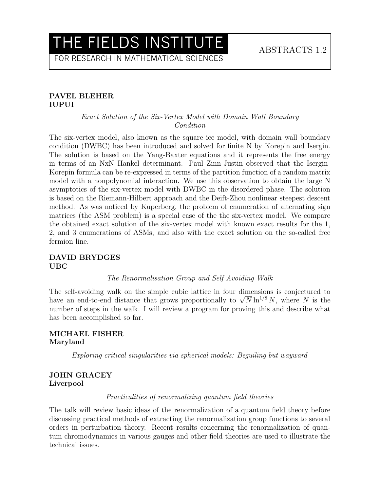FOR RESEARCH IN MATHEMATICAL SCIENCES

## PAVEL BLEHER IUPUI

## Exact Solution of the Six-Vertex Model with Domain Wall Boundary Condition

The six-vertex model, also known as the square ice model, with domain wall boundary condition (DWBC) has been introduced and solved for finite N by Korepin and Isergin. The solution is based on the Yang-Baxter equations and it represents the free energy in terms of an NxN Hankel determinant. Paul Zinn-Justin observed that the Isergin-Korepin formula can be re-expressed in terms of the partition function of a random matrix model with a nonpolynomial interaction. We use this observation to obtain the large N asymptotics of the six-vertex model with DWBC in the disordered phase. The solution is based on the Riemann-Hilbert approach and the Deift-Zhou nonlinear steepest descent method. As was noticed by Kuperberg, the problem of enumeration of alternating sign matrices (the ASM problem) is a special case of the the six-vertex model. We compare the obtained exact solution of the six-vertex model with known exact results for the 1, 2, and 3 enumerations of ASMs, and also with the exact solution on the so-called free fermion line.

## DAVID BRYDGES UBC

#### The Renormalisation Group and Self Avoiding Walk

The self-avoiding walk on the simple cubic lattice in four dimensions is conjectured to have an end-to-end distance that grows proportionally to  $\sqrt{N} \ln^{1/8} N$ , where N is the number of steps in the walk. I will review a program for proving this and describe what has been accomplished so far.

## MICHAEL FISHER Maryland

Exploring critical singularities via spherical models: Beguiling but wayward

## JOHN GRACEY Liverpool

#### Practicalities of renormalizing quantum field theories

The talk will review basic ideas of the renormalization of a quantum field theory before discussing practical methods of extracting the renormalization group functions to several orders in perturbation theory. Recent results concerning the renormalization of quantum chromodynamics in various gauges and other field theories are used to illustrate the technical issues.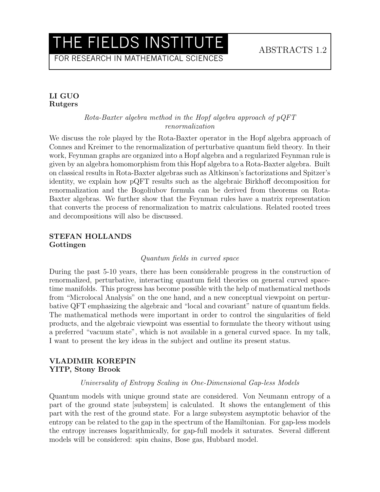FOR RESEARCH IN MATHEMATICAL SCIENCES

## LI GUO Rutgers

## Rota-Baxter algebra method in the Hopf algebra approach of pQFT renormalization

We discuss the role played by the Rota-Baxter operator in the Hopf algebra approach of Connes and Kreimer to the renormalization of perturbative quantum field theory. In their work, Feynman graphs are organized into a Hopf algebra and a regularized Feynman rule is given by an algebra homomorphism from this Hopf algebra to a Rota-Baxter algebra. Built on classical results in Rota-Baxter algebras such as Altkinson's factorizations and Spitzer's identity, we explain how pQFT results such as the algebraic Birkhoff decomposition for renormalization and the Bogoliubov formula can be derived from theorems on Rota-Baxter algebras. We further show that the Feynman rules have a matrix representation that converts the process of renormalization to matrix calculations. Related rooted trees and decompositions will also be discussed.

#### STEFAN HOLLANDS Gottingen

#### Quantum fields in curved space

During the past 5-10 years, there has been considerable progress in the construction of renormalized, perturbative, interacting quantum field theories on general curved spacetime manifolds. This progress has become possible with the help of mathematical methods from "Microlocal Analysis" on the one hand, and a new conceptual viewpoint on perturbative QFT emphasizing the algebraic and "local and covariant" nature of quantum fields. The mathematical methods were important in order to control the singularities of field products, and the algebraic viewpoint was essential to formulate the theory without using a preferred "vacuum state", which is not available in a general curved space. In my talk, I want to present the key ideas in the subject and outline its present status.

## VLADIMIR KOREPIN YITP, Stony Brook

#### Universality of Entropy Scaling in One-Dimensional Gap-less Models

Quantum models with unique ground state are considered. Von Neumann entropy of a part of the ground state [subsystem] is calculated. It shows the entanglement of this part with the rest of the ground state. For a large subsystem asymptotic behavior of the entropy can be related to the gap in the spectrum of the Hamiltonian. For gap-less models the entropy increases logarithmically, for gap-full models it saturates. Several different models will be considered: spin chains, Bose gas, Hubbard model.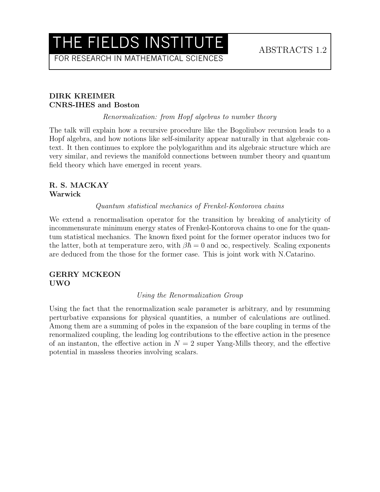FOR RESEARCH IN MATHEMATICAL SCIENCES

## DIRK KREIMER CNRS-IHES and Boston

Renormalization: from Hopf algebras to number theory

The talk will explain how a recursive procedure like the Bogoliubov recursion leads to a Hopf algebra, and how notions like self-similarity appear naturally in that algebraic context. It then continues to explore the polylogarithm and its algebraic structure which are very similar, and reviews the manifold connections between number theory and quantum field theory which have emerged in recent years.

# R. S. MACKAY Warwick

Quantum statistical mechanics of Frenkel-Kontorova chains

We extend a renormalisation operator for the transition by breaking of analyticity of incommensurate minimum energy states of Frenkel-Kontorova chains to one for the quantum statistical mechanics. The known fixed point for the former operator induces two for the latter, both at temperature zero, with  $\beta \hbar = 0$  and  $\infty$ , respectively. Scaling exponents are deduced from the those for the former case. This is joint work with N.Catarino.

## GERRY MCKEON UWO

#### Using the Renormalization Group

Using the fact that the renormalization scale parameter is arbitrary, and by resumming perturbative expansions for physical quantities, a number of calculations are outlined. Among them are a summing of poles in the expansion of the bare coupling in terms of the renormalized coupling, the leading log contributions to the effective action in the presence of an instanton, the effective action in  $N = 2$  super Yang-Mills theory, and the effective potential in massless theories involving scalars.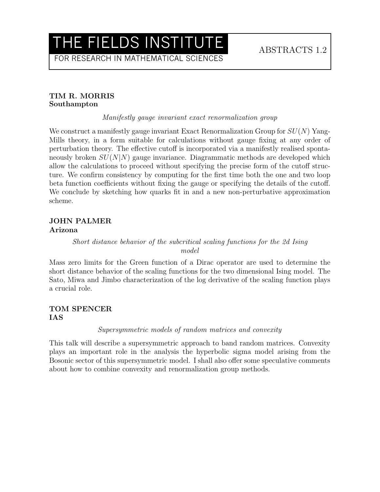FOR RESEARCH IN MATHEMATICAL SCIENCES

## TIM R. MORRIS Southampton

Manifestly gauge invariant exact renormalization group

We construct a manifestly gauge invariant Exact Renormalization Group for  $SU(N)$  Yang-Mills theory, in a form suitable for calculations without gauge fixing at any order of perturbation theory. The effective cutoff is incorporated via a manifestly realised spontaneously broken  $SU(N|N)$  gauge invariance. Diagrammatic methods are developed which allow the calculations to proceed without specifying the precise form of the cutoff structure. We confirm consistency by computing for the first time both the one and two loop beta function coefficients without fixing the gauge or specifying the details of the cutoff. We conclude by sketching how quarks fit in and a new non-perturbative approximation scheme.

# JOHN PALMER Arizona

# Short distance behavior of the subcritical scaling functions for the 2d Ising model

Mass zero limits for the Green function of a Dirac operator are used to determine the short distance behavior of the scaling functions for the two dimensional Ising model. The Sato, Miwa and Jimbo characterization of the log derivative of the scaling function plays a crucial role.

# TOM SPENCER IAS

## Supersymmetric models of random matrices and convexity

This talk will describe a supersymmetric approach to band random matrices. Convexity plays an important role in the analysis the hyperbolic sigma model arising from the Bosonic sector of this supersymmetric model. I shall also offer some speculative comments about how to combine convexity and renormalization group methods.